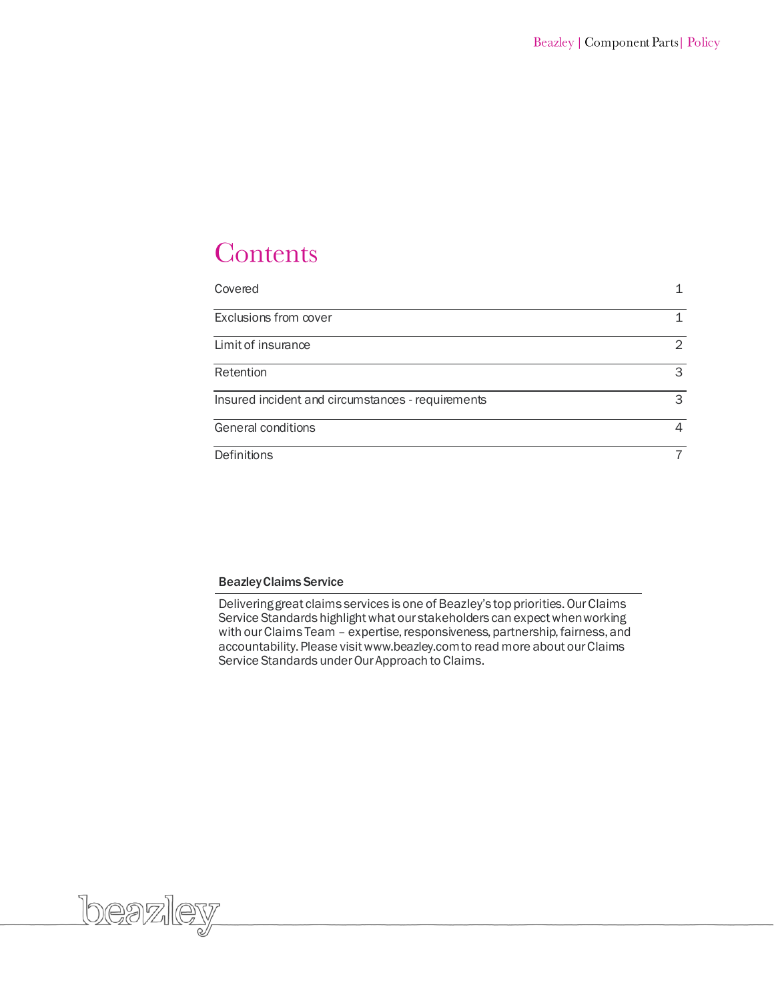# Contents

| Covered                                           |   |
|---------------------------------------------------|---|
| Exclusions from cover                             |   |
| Limit of insurance                                | 2 |
| Retention                                         | 3 |
| Insured incident and circumstances - requirements | 3 |
| General conditions                                | 4 |
| Definitions                                       |   |

# Beazley Claims Service

beazley

Delivering great claims services is one of Beazley's top priorities. Our Claims Service Standards highlight what our stakeholders can expect when working with our Claims Team – expertise, responsiveness, partnership, fairness, and accountability. Please visit www.beazley.com to read more about our Claims Service Standards under Our Approach to Claims.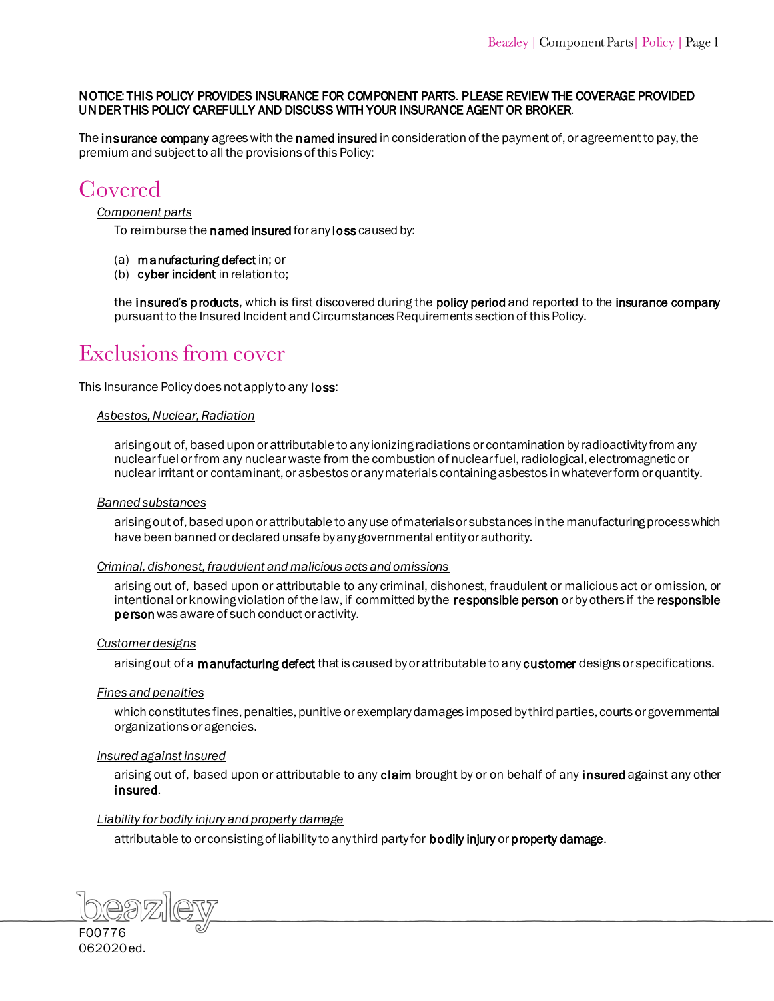# NOTICE: THIS POLICY PROVIDES INSURANCE FOR COMPONENT PARTS. PLEASE REVIEW THE COVERAGE PROVIDED UNDER THIS POLICY CAREFULLY AND DISCUSS WITH YOUR INSURANCE AGENT OR BROKER.

The [insurance company](#page-9-0) agrees with the [named insured](#page-9-1) in consideration of the payment of, or agreement to pay, the premium and subject to all the provisions of this Policy:

# Covered

### *Component parts*

To reimburse the [named insured](#page-9-2) for any [loss](#page-9-3) caused by:

- (a) [manufacturing defect](#page-9-4) in; or
- (b) [cyber incident](#page-8-0) in relation to;

the insured'[s products,](#page-9-5) which is first discovered during the [policy period](#page-9-6) and reported to the [insurance company](#page-9-7) pursuant to the Insured Incident and Circumstances Requirements section of this Policy.

# Exclusions from cover

This Insurance Policy does not apply to any **loss**:

### *Asbestos, Nuclear, Radiation*

arising out of, based upon or attributable to any ionizing radiations or contamination by radioactivity from any nuclear fuel or from any nuclear waste from the combustion of nuclear fuel, radiological, electromagnetic or nuclear irritant or contaminant, or asbestos or any materials containing asbestos in whatever form or quantity.

### *Banned substances*

arising out of, based upon or attributable to any use of materials or substances in the manufacturing process which have been banned or declared unsafe by any governmental entity or authority.

### *Criminal, dishonest, fraudulent and malicious acts and omissions*

arising out of, based upon or attributable to any criminal, dishonest, fraudulent or malicious act or omission, or intentional or knowing violation of the law, if committed by the [responsible person](#page-10-0) or by others if the responsible person was aware of such conduct or activity.

# *Customer designs*

arising out of a [manufacturing defect](#page-9-4) that is caused by or attributable to any [customer](#page-8-1) designs or specifications.

### *Fines and penalties*

which constitutes fines, penalties, punitive or exemplary damages imposed by third parties, courts or governmental organizations or agencies.

### *Insured against insured*

arising out of, based upon or attributable to any [claim](#page-8-2) brought by or on behalf of any [insured](#page-8-3) against any other [insured.](#page-8-3)

# *Liability for bodily injury and property damage*

attributable to or consisting of liability to any third party for **bodily injury** or **property damage**.

F00776 062020ed.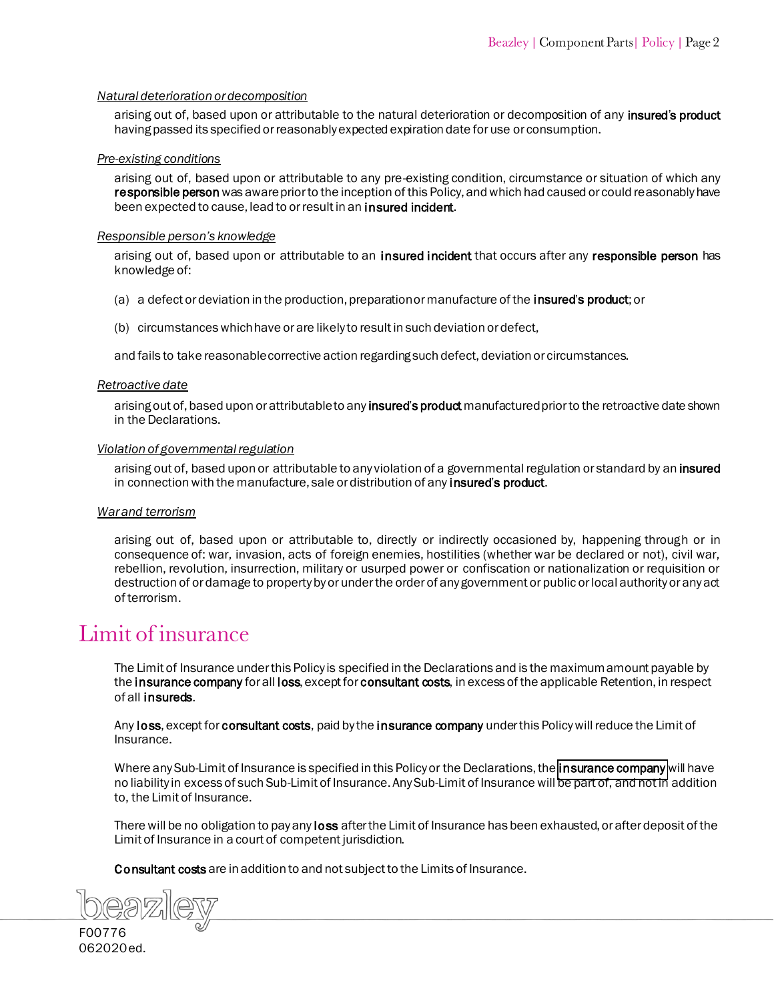# *Natural deterioration or decomposition*

arising out of, based upon or attributable to the natural deterioration or decomposition of any insured's product having passed its specified or reasonably expected expiration date for use or consumption.

### *Pre-existing conditions*

arising out of, based upon or attributable to any pre-existing condition, circumstance or situation of which any responsible person was aware prior to the inception of this Policy, and which had caused or could reasonably have been expected to cause, lead to or result in an **insured incident.** 

### *Responsible person's knowledge*

arising out of, based upon or attributable to an [insured incident t](#page-9-10)hat occurs after any [responsible person](#page-10-1) has knowledge of:

- (a) a defect or deviation in the production, preparation or manufacture of the insured'[s product;](#page-9-5) or
- (b) circumstances which have or are likely to result in such deviation or defect,

and fails to take reasonable corrective action regarding such defect, deviation or circumstances.

### *Retroactive date*

arising out of, based upon or attributable to any **insured's product** manufactured prior to the retroactive date shown in the Declarations.

### *Violation of governmental regulation*

arising out of, based upon or attributable to any violation of a governmental regulation or standard by an insured in connection with the manufacture, sale or distribution of any insured's product.

# *War and terrorism*

arising out of, based upon or attributable to, directly or indirectly occasioned by, happening through or in consequence of: war, invasion, acts of foreign enemies, hostilities (whether war be declared or not), civil war, rebellion, revolution, insurrection, military or usurped power or confiscation or nationalization or requisition or destruction of or damage to property by or under the order of any government or public or local authority or any act of terrorism.

# <span id="page-2-1"></span><span id="page-2-0"></span>Limit of insurance

The Limit of Insurance under this Policy is specified in the Declarations and is the maximum amount payable by the [insurance company](#page-9-13) for all [loss, e](#page-9-14)xcept for [consultant costs,](#page-8-5) in excess of the applicable Retention, in respect of all insureds.

An[y loss,](#page-9-15) except for [consultant costs,](#page-8-6) paid by th[e insurance company](#page-9-16) under this Policy will reduce the Limit of Insurance.

Where any Sub-Limit of Insurance is specified in this Policy or the Declarations, the **insurance company** will have no liability in excess of such Sub-Limit of Insurance. Any Sub-Limit of Insurance will be part of, and not in addition to, the Limit of Insurance.

There will be no obligation to pay any [loss](#page-9-17) after the Limit of Insurance has been exhausted, or after deposit of the Limit of Insurance in a court of competent jurisdiction.

[Consultant costs](#page-3-1) are in addition to and not subject to the Limits of Insurance.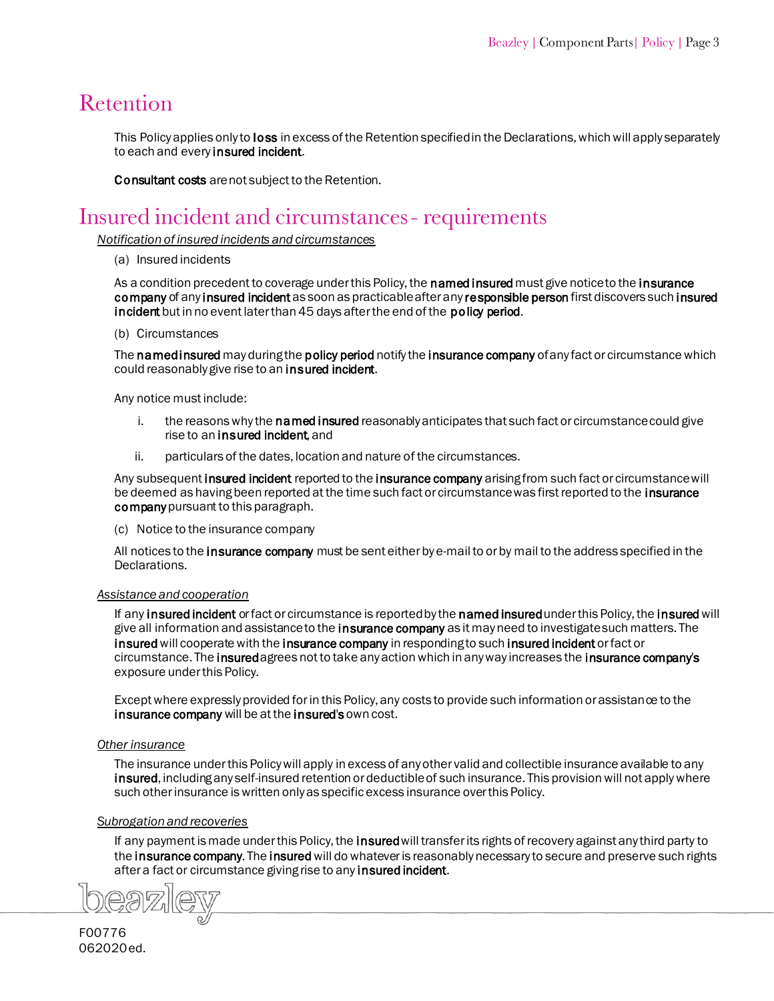# <span id="page-3-1"></span>Retention

This Policy applies only to **loss** in excess of the Retention specified in the Declarations, which will apply separately to each and every [insured incident.](#page-9-19)

[Consultant costs](#page-8-7) are not subject to the Retention.

# <span id="page-3-0"></span>Insured incident and circumstances - requirements

*Notification of insured incidents and circumstances*

### (a) Insured incidents

As a condition precedent to coverage under this Policy, the named [insured](#page-9-20) must give notice to the insurance [company](#page-9-21) of any [insured incident](#page-9-22) as soon as practicable after an[y responsible person](#page-10-2) first discovers such insured [incident](#page-9-22) but in no event later than 45 days after the end of the [policy period.](#page-9-6)

### (b) Circumstances

The named insured may during the [policy period](#page-9-6) notify the [insurance company](#page-9-21) of any fact or circumstance which could reasonably give rise to an [insured incident.](#page-9-24)

Any notice must include:

- i. the reasons why the **named insured** reasonably anticipates that such fact or circumstance could give rise to an insured incident and
- ii. particulars of the dates, location and nature of the circumstances.

Any subsequent [insured incident r](#page-9-22)eported to th[e insurance company a](#page-9-21)rising from such fact or circumstance will be deemed as having been reported at the time such fact or circumstance was first reported to the insurance [companyp](#page-9-21)ursuant to this paragraph.

(c) Notice to the insurance company

All notices to the [insurance company](#page-9-16) must be sent either by e-mail to or by mail to the address specified in the Declarations.

# *Assistance and cooperation*

If any [insured incident o](#page-9-24)r fact or circumstance is reported by the named [insured](#page-8-8) under this Policy, the insured will give all information and assistance to the **insurance company** as it may need to investigate such matters. The [insured](#page-8-8) will cooperate with the [insurance company](#page-9-21) in responding to suc[h insured incident](#page-9-24) or fact or circumstance. The insured agrees not to take any action which in any way increases the [insurance company's](#page-9-7) exposure under this Policy.

Except where expressly provided for in this Policy, any costs to provide such information or assistance to the [insurance company w](#page-9-21)ill be at the [insured's](#page-8-8) own cost.

# *Other insurance*

The insurance under this Policy will apply in excess of any other valid and collectible insurance available to any [insured,](#page-8-8) including any self-insured retention or deductible of such insurance. This provision will not apply where such other insurance is written only as specific excess insurance over this Policy.

# *Subrogation and recoveries*

If any payment is made under this Policy, the insured will transfer its rights of recovery against any third party to th[e insurance company.](#page-9-7) Th[e insured](#page-8-8) will do whatever is reasonably necessary to secure and preserve such rights after a fact or circumstance giving rise to any **insured incident**.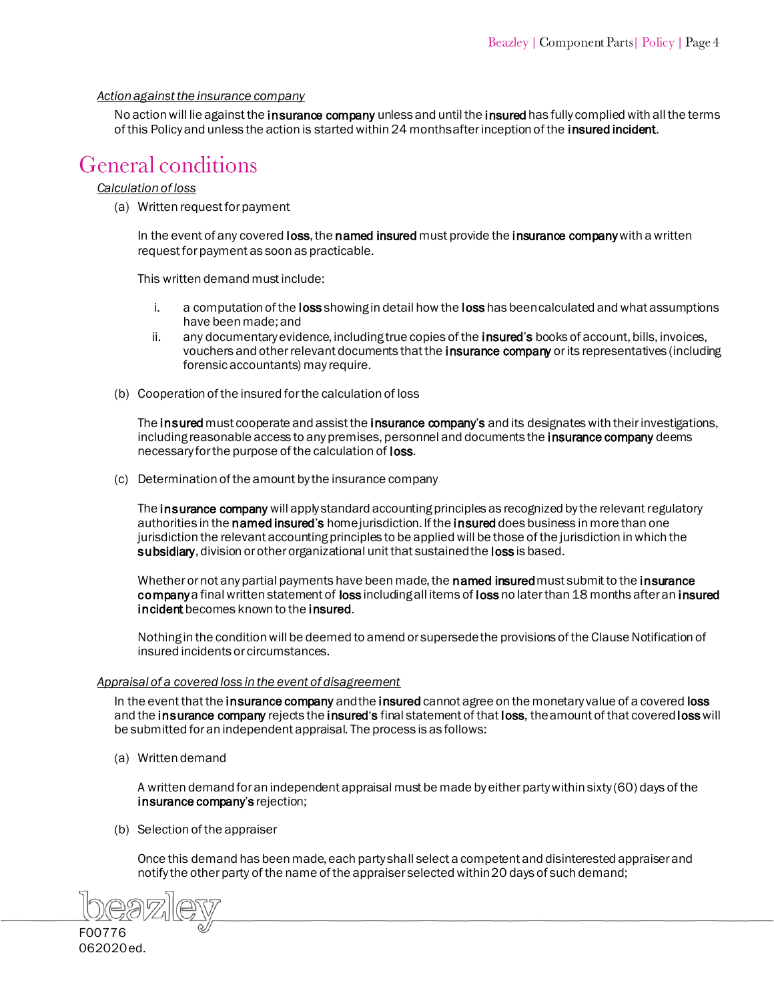# *Action against the insurance company*

No action will lie against the [insurance company](#page-9-16) unless and until the [insured](#page-8-8) has fully complied with all the terms of this Policy and unless the action is started within 24 months after inception of the [insured incident.](#page-9-22)

# <span id="page-4-0"></span>General conditions

# *Calculation of loss*

(a) Written request for payment

In the event of any covered [loss,](#page-9-25) th[e named insured](#page-9-23) must provide the [insurance company](#page-9-21) with a written request for payment as soon as practicable.

This written demand must include:

- i. a computation of the [loss](#page-9-15) showing in detail how the loss has been calculated and what assumptions have been made; and
- ii. any documentary evidence, including true copies of the **insured's** books of account, bills, invoices, vouchers and other relevant documents that the *insurance company* or its representatives (including forensic accountants) may require.
- (b) Cooperation of the insured for the calculation of loss

Th[e insured](#page-8-8) must cooperate and assist the [insurance company](#page-9-21)'s and its designates with their investigations, including reasonable access to any premises, personnel and documents the [insurance company](#page-9-21) deems necessary for the purpose of the calculation of [loss.](#page-9-25) 

(c) Determination of the amount by the insurance company

Th[e insurance company](#page-9-21) will apply standard accounting principles as recognized by the relevant regulatory authorities in the [named insured](#page-9-1)'s home jurisdiction. If the [insured](#page-8-8) does business in more than one jurisdiction the relevant accounting principles to be applied will be those of the jurisdiction in which the [subsidiary,](#page-10-3) division or other organizational unit that sustained the [loss](#page-9-25) is based.

Whether or not any partial payments have been made, the **named insured** must submit to the **insurance** [company](#page-9-16) a final written statement of [loss](#page-9-25) including all items of [loss](#page-9-26) no later than 18 months after an insured [incident](#page-9-22) becomes known to the [insured.](#page-8-10)

Nothing in the condition will be deemed to amend or supersede the provisions of the Clause Notification of insured incidents or circumstances.

# *Appraisal of a covered loss in the event of disagreement*

In the event that th[e insurance company a](#page-9-0)nd th[e insured c](#page-8-10)annot agree on the monetary value of a covered [loss](#page-9-28) and the [insurance company](#page-9-21) rejects the [insured](#page-8-10)'s final statement of that [loss,](#page-9-25) the amount of that covered [loss](#page-9-26) will be submitted for an independent appraisal. The process is as follows:

(a) Written demand

A written demand for an independent appraisal must be made by either party within sixty (60) days of the [insurance company](#page-9-16)'s rejection;

(b) Selection of the appraiser

Once this demand has been made, each party shall select a competent and disinterested appraiser and notify the other party of the name of the appraiser selected within 20 days of such demand;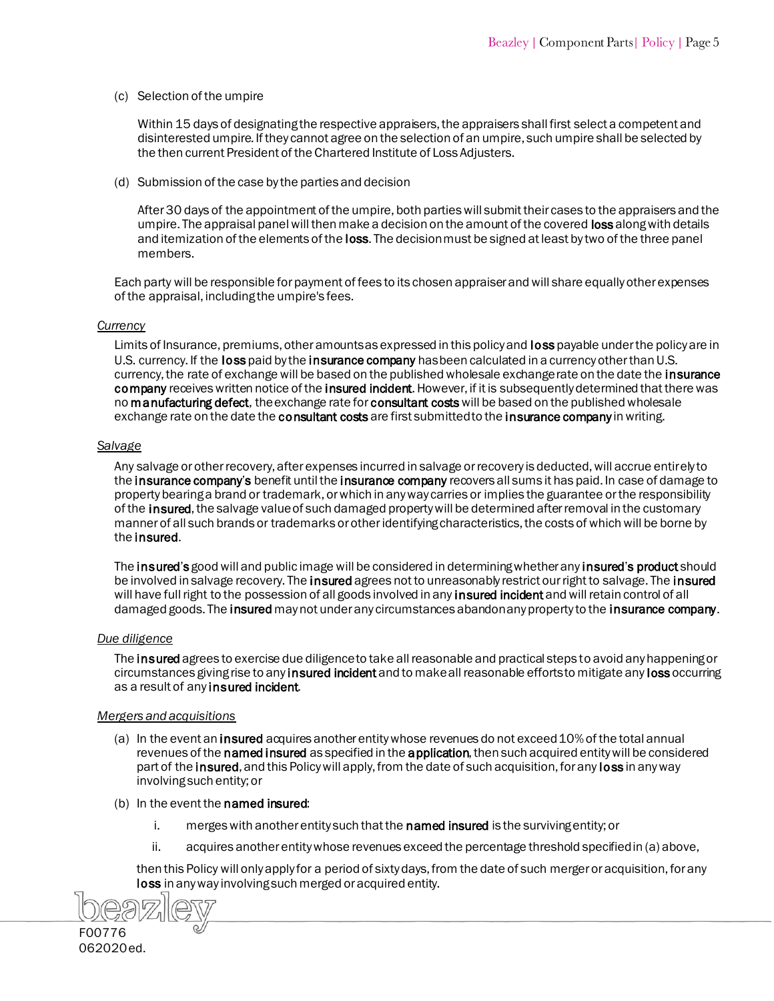(c) Selection of the umpire

Within 15 days of designating the respective appraisers, the appraisers shall first select a competent and disinterested umpire. If they cannot agree on the selection of an umpire, such umpire shall be selected by the then current President of the Chartered Institute of Loss Adjusters.

(d) Submission of the case by the parties and decision

After 30 days of the appointment of the umpire, both parties will submit their cases to the appraisers and the umpire. The appraisal panel will then make a decision on the amount of the covered [loss](#page-9-25) along with details and itemization of the elements of the [loss.](#page-9-17) The decision must be signed at least by two of the three panel members.

Each party will be responsible for payment of fees to its chosen appraiser and will share equally other expenses of the appraisal, including the umpire's fees.

### *Currency*

Limits of Insurance, premiums, other amounts as expressed in this policy and [loss](#page-9-30) payable under the policy are in U.S. currency. If the [loss](#page-9-29) paid by the [insurance company h](#page-9-31)as been calculated in a currency other than U.S. currency, the rate of exchange will be based on the published wholesale exchange rate on the date the insurance [company](#page-9-31) receives written notice of the [insured incident.](#page-9-33) However, if it is subsequently determined that there was no [manufacturing defect,](#page-9-34) the exchange rate for consultant costs will be based on the published wholesale exchange rate on the date the [consultant costs](#page-8-11) are first submitted to the [insurance company](#page-9-35) in writing.

### *Salvage*

Any salvage or other recovery, after expenses incurred in salvage or recovery is deducted, will accrue entirely to the [insurance company](#page-9-32)'s benefit until the insurance company recovers all sums it has paid. In case of damage to property bearing a brand or trademark, or which in any way carries or implies the guarantee or the responsibility of the [insured,](#page-8-12) the salvage value of such damaged property will be determined after removal in the customary manner of all such brands or trademarks or other identifying characteristics, the costs of which will be borne by the [insured.](#page-9-33)

The [insured](#page-8-13)'s good will and public image will be considered in determining whether any insured'[s product](#page-9-36) should be involved in salvage recovery. The **insured** agrees not to unreasonably restrict our right to salvage. The **insured** will have full right to the possession of all goods involved in any [insured incident a](#page-9-33)nd will retain control of all damaged goods. The [insured](#page-8-14) may not under any circumstances abandon any property to the [insurance company.](#page-9-31)

# *Due diligence*

The [insured](#page-8-14) agrees to exercise due diligence to take all reasonable and practical steps to avoid any happening or circumstances gi[ving rise to any insured incident](#page-9-33) and to make all reasonable efforts to mitigate any [loss](#page-9-37) occurring as a result of any insured incident.

# *Mergers and acquisitions*

- (a) In the event a[n insured a](#page-8-14)cquires another entity whose revenues do not exceed 10% of the total annual revenues of the named [insured a](#page-9-38)s specified in th[e application,](#page-7-2) then such acquired entity will be considered part of the **insured**, and this Policy will apply, from the date of such acquisition, for any **loss** in any way involving such entity; or
- (b) In the event the named insured:
	- i. merge[s with another entity such that the named insured](#page-9-38) is the surviving entity; or
	- ii. acquires another entity whose revenues exceed the percentage threshold specified in (a) above,

then this Policy will only apply for a period of sixty days, from the date of such merger or acquisition, for any [loss](#page-9-29) in any way involving such merged or acquired entity.

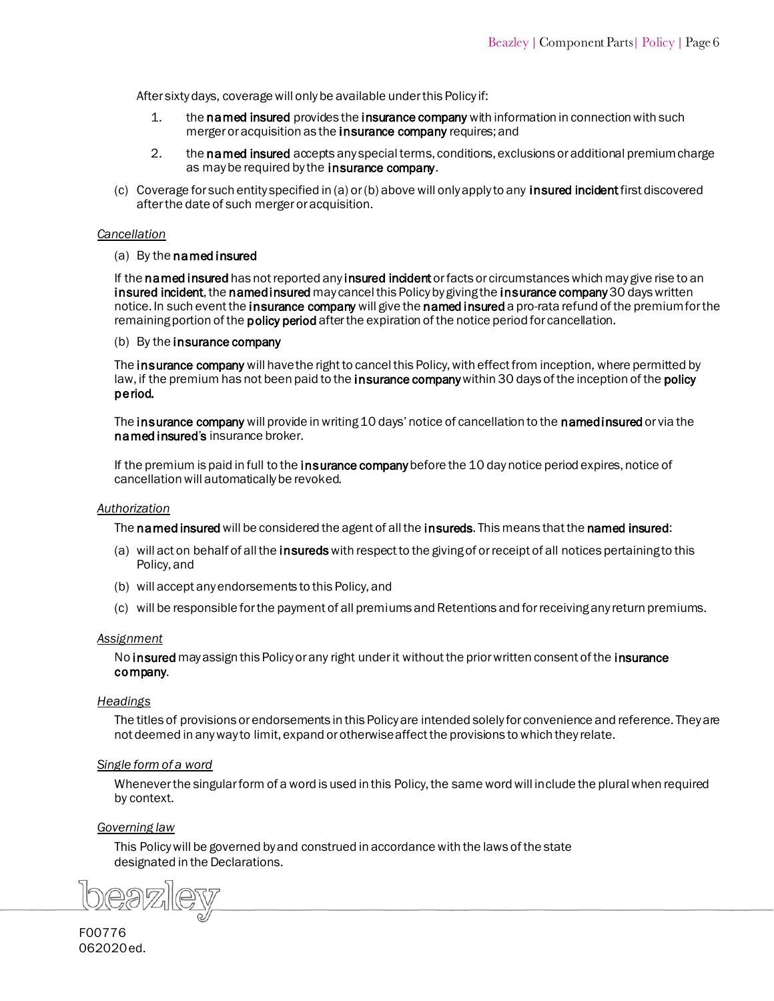After sixty days, coverage will only be available under this Policy if:

- 1. the [named insured](#page-9-38) provid[es the insurance company](#page-9-32) with information in connection with such merger or acquisition as the insurance company requires; and
- 2. the named insured accepts any special terms, conditions, exclusions or additional premium charge as may be required by the insurance company.
- (c) Coverage for such entity specified in (a) or (b) above will only apply to any [insured incident](#page-9-33) first discovered after the date of such merger or acquisition.

### *Cancellation*

### (a) [By the named](#page-9-38) insured

If the named insured has not reported any [insured incident](#page-9-33) or facts or circumstances which may give rise to an [insured incident,](#page-9-33) the named insured may cancel this Policy by giving the [insurance company](#page-9-31) 30 days written notice. In such event the [insurance company](#page-9-31) will give the named [insured](#page-9-38) a pro-rata refund of the premium for the remaining portion of the **policy period** after the expiration of the notice period for cancellation.

### (b) By the [insurance company](#page-9-31)

The insurance company will have the right to cancel this Policy, with effect from inception, where permitted by law, if the premium has not been paid to the insurance company within 30 days of the inception of the policy [period.](#page-9-41)

The [insurance company](#page-9-31) will provide in writing 10 days' notice of cancellation to the [namedinsured](#page-9-38) or via the named [insured](#page-9-38)'s insurance broker.

If the premium is paid in full to the [insurance company](#page-9-31) before the 10 day notice period expires, notice of cancellation will automatically be revoked.

### *Authorization*

The [named insured](#page-9-38) will be considered the agent of all the [insureds.](#page-8-16) This means that the named insured:

- (a) will act on behalf of all the insureds with respect to the giving of or receipt of all notices pertaining to this Policy, and
- (b) will accept any endorsements to this Policy, and
- (c) will be responsible for the payment of all premiums and Retentions and for receiving any return premiums.

# *Assignment*

No [insured](#page-8-17) may assign this Policy or any right under it without the prior written consent of the insurance [company.](#page-9-35)

# *Headings*

The titles of provisions or endorsements in this Policy are intended solely for convenience and reference. They are not deemed in any way to limit, expand or otherwise affect the provisions to which they relate.

# *Single form of a word*

Whenever the singular form of a word is used in this Policy, the same word will include the plural when required by context.

# *Governing law*

This Policy will be governed by and construed in accordance with the laws of the state designated in the Declarations.

 $\mathbb{R} \times \mathbb{R}$ 

F00776 062020ed.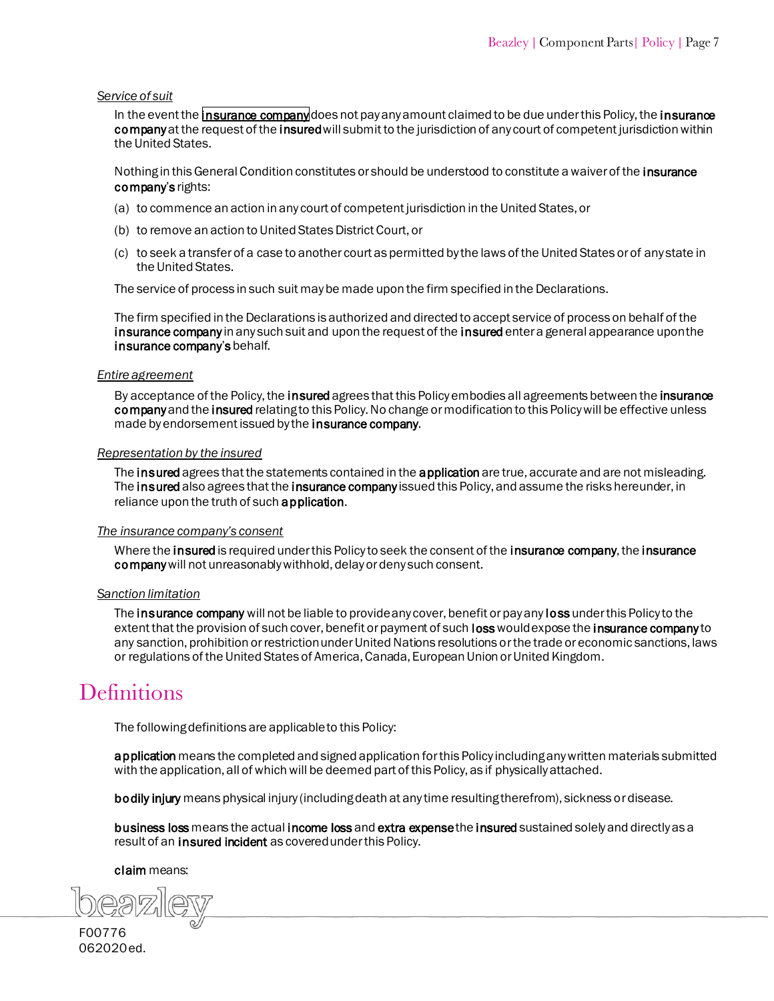### *Service of suit*

In the event the [insurance company](#page-9-31) does not pay any amount claimed to be due under this Policy, the insurance company at the request of the insured will submit to the jurisdiction of any court of competent jurisdiction within [the United S](#page-9-31)tates.

Nothing in this General Condition constitutes or should be understood to constitute a waiver of the insurance company's rights:

- (a) to commence an action in any court of competent jurisdiction in the United States, or
- (b) to remove an action to United States District Court, or
- (c) to seek a transfer of a case to another court as permitted by the laws of the United States or of any state in the United States.

The service of process in such suit may be made upon the firm specified in the Declarations.

The firm specified in the Declarations is authorized and directed to accept service of process on behalf of the [insurance company](#page-9-31) in any such suit and upon the request of the [insured](#page-8-14) enter a general appearance upon the insurance company's behalf.

### *Entire agreement*

By acceptance of the Policy, the [insured](#page-8-14) agrees that this Policy embodies all agreements between the insurance [company](#page-9-31) and the [insured](#page-8-16) relating to this Policy. No change or modification to this Policy will be effective unless made by endorsement issued by the **insurance company**.

### *Representation by the insured*

The [insured](#page-8-17) agrees that the statements contained in the [application](#page-7-2) are true, accurate and are not misleading. The insured also agrees that the [insurance company](#page-9-35) issued this Policy, and assume the risks hereunder, in reliance upon the truth of such [application.](#page-7-2)

### *The insurance company's consent*

Where th[e insured](#page-8-14) is required under this Policy to seek the consent of the [insurance company, the insurance](#page-9-35) [company](#page-9-35)will not unreasonably withhold, delay or deny such consent.

### *Sanction limitation*

The [insurance company](#page-9-35) will not be liable to provide any cover, benefit or pay any loss under this Policy to the extent that the provision of such cover, benefit or payment of such **loss** would expose the **insurance company** to any sanction, prohibition or restriction under United Nations resolutions or the trade or economic sanctions, laws or regulations of the United States of America, Canada, European Union or United Kingdom.

# <span id="page-7-2"></span><span id="page-7-1"></span><span id="page-7-0"></span>**Definitions**

The following definitions are applicable to this Policy:

application means the completed and signed application for this Policy including any written materials submitted with the application, all of which will be deemed part of this Policy, as if physically attached.

bodily injury means physical injury (including death at any time resulting therefrom), sickness or disease.

business loss means the actual [income loss](#page-8-18) and extra expense the [insured](#page-8-14) sustained solely and directly as a result of an [insured incident](#page-9-43) as covered under this Policy.

### claim means: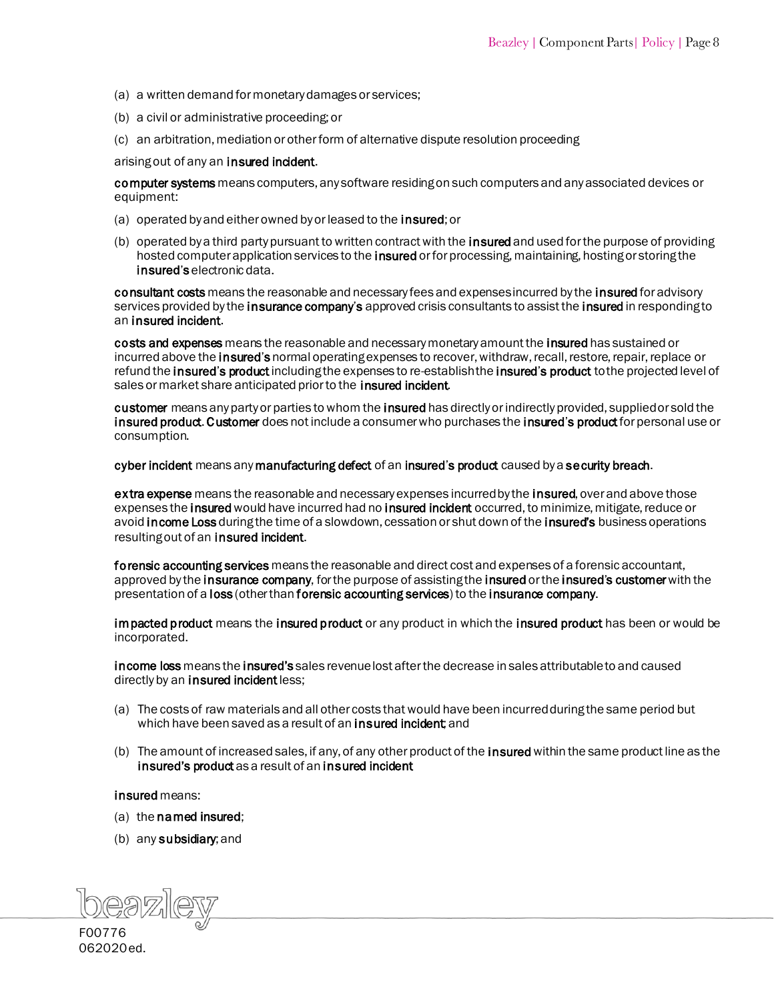- <span id="page-8-28"></span><span id="page-8-24"></span><span id="page-8-2"></span>(a) a written demand for monetary damages or services;
- (b) a civil or administrative proceeding; or
- (c) an arbitration, mediation or other form of alternative dispute resolution proceeding

arising out of any an [insured incident.](#page-9-33)

<span id="page-8-27"></span>computer systems means computers, any software residing on such computers and any associated devices or equipment:

- (a) operated by and either owned by or leased to the insured; or
- (b) operated by a third party pursuant to written contract with the **insured** and used for the purpose of providing hosted computer application services to the **insured** or for processing, maintaining, hosting or storing the insured's electronic data.

<span id="page-8-11"></span><span id="page-8-7"></span><span id="page-8-5"></span>consultant costs means the reasonable and necessary fees and expenses incurred by th[e insured](#page-8-16) for advisory services provided by the **insurance company's** approved crisis consultants to assist the **insured** in responding to an [insured incident.](#page-9-44)

<span id="page-8-23"></span><span id="page-8-6"></span>costs and expenses means the reasonable and necessary monetary amount the [insured](#page-8-14) has sustained or incurred above the **[insured](#page-8-16)'s** normal operating expenses to recover, withdraw, recall, restore, repair, replace or refund the insured's product [including the expenses to re-establish the insured](#page-9-36)'s product to the projected level of sales or market share anticipated prior to the **insured incident**.

<span id="page-8-29"></span><span id="page-8-22"></span><span id="page-8-21"></span><span id="page-8-1"></span>customer means any party or parties to whom th[e insured h](#page-8-12)as directly or indirectly provided, supplied or sold the insured [product.](#page-9-36) Customer does not include a consumer who purchases the insured'[s product](#page-9-36) for personal use or consumption.

<span id="page-8-0"></span>cyber incident means any [manufacturing defect](#page-9-34) of an insured'[s product](#page-9-36) caused by a [security breach.](#page-10-4)

<span id="page-8-19"></span>extra expense means the reasonable and necessary expenses incurred by the [insured, ove](#page-8-16)r and above those expenses the insured would have incurred had no [insured incident o](#page-9-33)ccurred, to minimize, mitigate, reduce or avoi[d income Loss](#page-8-20) during the time of a slowdown, cessation or shut down of the insured's business operations resulting out of an [insured incident.](#page-9-33)

<span id="page-8-25"></span>forensic accounting services means the reasonable and direct cost and expenses of a forensic accountant, approved by the [insurance company,](#page-9-32) for the purpose of assisting the [insured](#page-8-17) or the insured's customer with the presentation of a [loss](#page-9-29) (other than forensic accounting services) to the [insurance company.](#page-9-45)

<span id="page-8-26"></span><span id="page-8-18"></span>impacted product means the [insured product or any product in which the insured product h](#page-9-36)as been or would be incorporated.

<span id="page-8-20"></span>income loss means the [insured's](#page-8-16) sales revenue lost after the decrease in sales attributable to and caused directly by an [insured incident](#page-9-33) less;

- (a) The costs of raw materials and all other costs that would have been incurred during the same period but which have been saved as a resu[lt of an insured incident; an](#page-9-44)d
- <span id="page-8-15"></span>(b) The amount of increased sales, if any, of any other product of the insured within the same product line as the [insured's product](#page-9-36) as a result of an insured incident

<span id="page-8-17"></span><span id="page-8-13"></span><span id="page-8-10"></span>insured means:

- (a) th[e named insured;](#page-9-38)
- (b) an[y subsidiary; a](#page-10-5)nd

<span id="page-8-16"></span><span id="page-8-14"></span><span id="page-8-12"></span><span id="page-8-9"></span><span id="page-8-8"></span><span id="page-8-4"></span><span id="page-8-3"></span>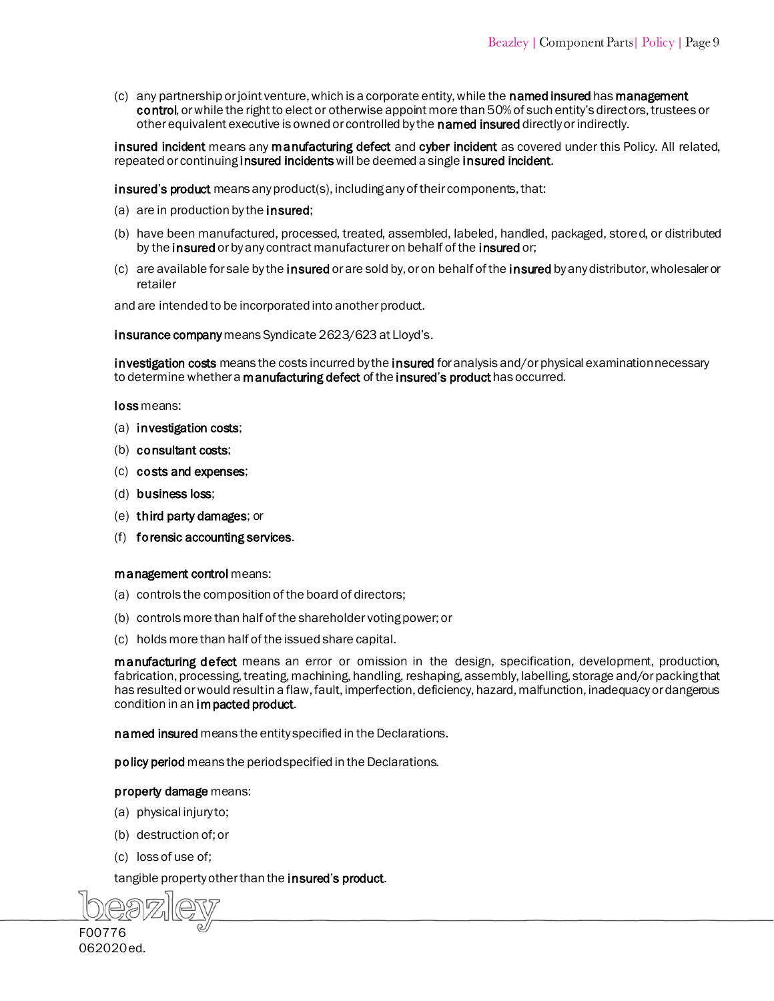<span id="page-9-27"></span> $(c)$  any partnership or joint venture, which is a corporate entity, while the **named insured** has **management** [control](#page-9-46), or while the right to elect or otherwise appoint [more than 50% of such entity's](#page-9-38) directors, trustees or other equivalent executive is owned or controlled by the named insured directly or indirectly.

<span id="page-9-44"></span><span id="page-9-43"></span><span id="page-9-33"></span><span id="page-9-24"></span><span id="page-9-22"></span><span id="page-9-19"></span><span id="page-9-10"></span>insured incident means any [manufacturing defect](#page-9-34) and [cyber incident](#page-8-22) as covered under this Policy. All related, repeated or continuing insured incidents will be deemed a single insured incident.

<span id="page-9-36"></span><span id="page-9-12"></span><span id="page-9-11"></span><span id="page-9-5"></span>insured's product means any product(s), including any of their components, that:

- (a) are in production by the **insured**:
- (b) have [been manufactured, processed, treated, assembled, labeled, handled, pack](#page-8-16)aged, stored, or distributed by the insured or by any contract manufacturer on behalf of the insured or;
- (c) are available for sale by the insured or are sold by, or on behalf of the insured by any distributor, wholesaler or retailer

<span id="page-9-45"></span><span id="page-9-0"></span>and are intended to be incorporated into another product.

<span id="page-9-47"></span><span id="page-9-35"></span><span id="page-9-32"></span><span id="page-9-31"></span><span id="page-9-21"></span><span id="page-9-16"></span><span id="page-9-13"></span><span id="page-9-7"></span>insurance company means Syndicate 2623/623 at Lloyd's.

<span id="page-9-42"></span><span id="page-9-28"></span><span id="page-9-26"></span>investigation costs means the costs incurred by th[e insured](#page-8-16) for analysis and/or physical examination necessary to determine whether a **manufacturing defect** of the **insured'[s product](#page-9-36)** has occurred.

<span id="page-9-39"></span><span id="page-9-37"></span><span id="page-9-30"></span><span id="page-9-29"></span><span id="page-9-25"></span><span id="page-9-18"></span><span id="page-9-17"></span><span id="page-9-15"></span><span id="page-9-14"></span><span id="page-9-8"></span><span id="page-9-3"></span>loss means:

- (a) [investigation costs;](#page-9-47)
- (b) [consultant costs;](#page-8-11)
- (c) [costs and expenses;](#page-8-23)
- (d) [business loss;](#page-8-24)
- (e) [third party damages;](#page-10-6) or
- (f) [forensic accounting services.](#page-8-25)

<span id="page-9-46"></span>management control means:

- (a) controls the composition of the board of directors;
- (b) controls more than half of the shareholder voting power; or
- <span id="page-9-34"></span>(c) holds more than half of the issued share capital.

<span id="page-9-4"></span>manufacturing defect means an error or omission in the design, specification, development, production, fabrication, processing, treating, machining, handling, reshaping, assembly, labelling, storage and/or packing that has resulted or would result in a flaw, fault, imperfection, deficiency, hazard, malfunction, inadequacy or dangerous condition in a[n impacted product.](#page-8-26)

<span id="page-9-38"></span><span id="page-9-23"></span><span id="page-9-20"></span><span id="page-9-2"></span><span id="page-9-1"></span>named insured means the entity specified in the Declarations.

<span id="page-9-41"></span><span id="page-9-40"></span><span id="page-9-6"></span>policy period means the period specified in the Declarations.

### property damage means:

- (a) physical injury to;
- (b) destruction of; or
- (c) loss of use of;

tangible property other than the insured'[s product.](#page-9-38)

<span id="page-9-9"></span>